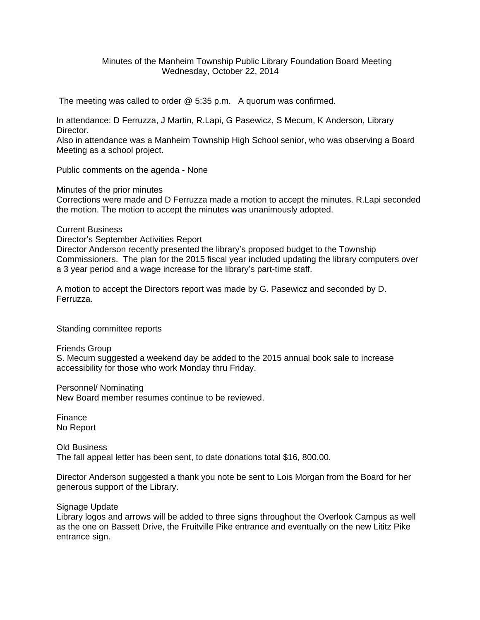## Minutes of the Manheim Township Public Library Foundation Board Meeting Wednesday, October 22, 2014

The meeting was called to order @ 5:35 p.m. A quorum was confirmed.

In attendance: D Ferruzza, J Martin, R.Lapi, G Pasewicz, S Mecum, K Anderson, Library Director.

Also in attendance was a Manheim Township High School senior, who was observing a Board Meeting as a school project.

Public comments on the agenda - None

Minutes of the prior minutes

Corrections were made and D Ferruzza made a motion to accept the minutes. R.Lapi seconded the motion. The motion to accept the minutes was unanimously adopted.

Current Business

Director's September Activities Report Director Anderson recently presented the library's proposed budget to the Township Commissioners. The plan for the 2015 fiscal year included updating the library computers over a 3 year period and a wage increase for the library's part-time staff.

A motion to accept the Directors report was made by G. Pasewicz and seconded by D. Ferruzza.

Standing committee reports

Friends Group

S. Mecum suggested a weekend day be added to the 2015 annual book sale to increase accessibility for those who work Monday thru Friday.

Personnel/ Nominating New Board member resumes continue to be reviewed.

Finance No Report

Old Business The fall appeal letter has been sent, to date donations total \$16, 800.00.

Director Anderson suggested a thank you note be sent to Lois Morgan from the Board for her generous support of the Library.

Signage Update

Library logos and arrows will be added to three signs throughout the Overlook Campus as well as the one on Bassett Drive, the Fruitville Pike entrance and eventually on the new Lititz Pike entrance sign.